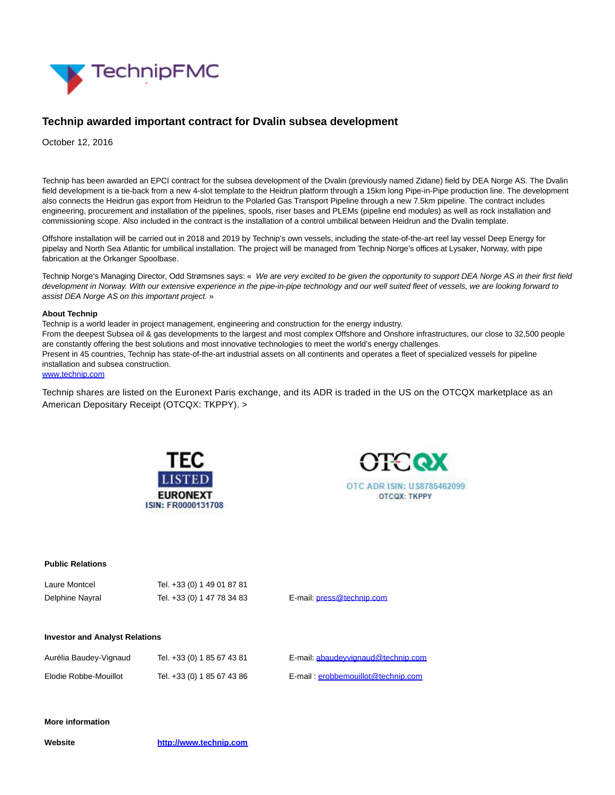

# **Technip awarded important contract for Dvalin subsea development**

October 12, 2016

Technip has been awarded an EPCI contract for the subsea development of the Dvalin (previously named Zidane) field by DEA Norge AS. The Dvalin field development is a tie-back from a new 4-slot template to the Heidrun platform through a 15km long Pipe-in-Pipe production line. The development also connects the Heidrun gas export from Heidrun to the Polarled Gas Transport Pipeline through a new 7.5km pipeline. The contract includes engineering, procurement and installation of the pipelines, spools, riser bases and PLEMs (pipeline end modules) as well as rock installation and commissioning scope. Also included in the contract is the installation of a control umbilical between Heidrun and the Dvalin template.

Offshore installation will be carried out in 2018 and 2019 by Technip's own vessels, including the state-of-the-art reel lay vessel Deep Energy for pipelay and North Sea Atlantic for umbilical installation. The project will be managed from Technip Norge's offices at Lysaker, Norway, with pipe fabrication at the Orkanger Spoolbase.

Technip Norge's Managing Director, Odd Strømsnes says: « We are very excited to be given the opportunity to support DEA Norge AS in their first field development in Norway. With our extensive experience in the pipe-in-pipe technology and our well suited fleet of vessels, we are looking forward to assist DEA Norge AS on this important project. »

### **About Technip**

Technip is a world leader in project management, engineering and construction for the energy industry. From the deepest Subsea oil & gas developments to the largest and most complex Offshore and Onshore infrastructures, our close to 32,500 people are constantly offering the best solutions and most innovative technologies to meet the world's energy challenges. Present in 45 countries, Technip has state-of-the-art industrial assets on all continents and operates a fleet of specialized vessels for pipeline installation and subsea construction.

## [www.technip.com](http://www.technip.com/)

Technip shares are listed on the Euronext Paris exchange, and its ADR is traded in the US on the OTCQX marketplace as an American Depositary Receipt (OTCQX: TKPPY). >





### **Public Relations**

| Laure Montcel   | Tel. +33 (0) 1 49 01 87 81 |    |
|-----------------|----------------------------|----|
| Delphine Nayral | Tel. +33 (0) 1 47 78 34 83 | E٠ |

-mail: [press@technip.com](mailto:press@technip.com)

### **Investor and Analyst Relations**

| Aurélia Baudey-Vignaud | Tel. +33 (0) 1 85 67 43 81 | E-mail: abaudevvignaud@technip.com |
|------------------------|----------------------------|------------------------------------|
| Elodie Robbe-Mouillot  | Tel. +33 (0) 1 85 67 43 86 | E-mail: erobbemouillot@technip.com |

# **More information**

**Website [http://www.technip.com](http://www.technip.com/)**